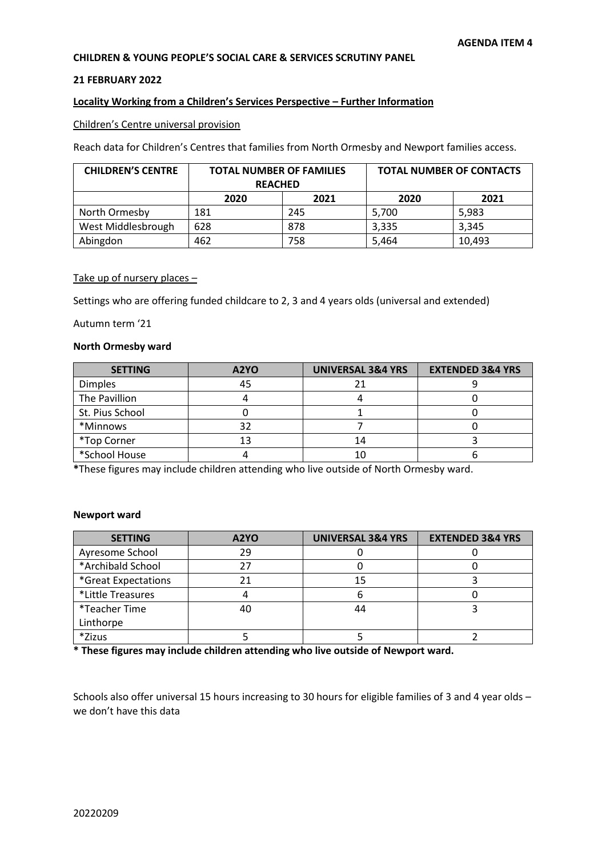# **CHILDREN & YOUNG PEOPLE'S SOCIAL CARE & SERVICES SCRUTINY PANEL**

#### **21 FEBRUARY 2022**

# **Locality Working from a Children's Services Perspective – Further Information**

#### Children's Centre universal provision

Reach data for Children's Centres that families from North Ormesby and Newport families access.

| <b>CHILDREN'S CENTRE</b> | <b>TOTAL NUMBER OF FAMILIES</b> |      | <b>TOTAL NUMBER OF CONTACTS</b> |        |
|--------------------------|---------------------------------|------|---------------------------------|--------|
|                          | <b>REACHED</b>                  |      |                                 |        |
|                          | 2020                            | 2021 | 2020                            | 2021   |
| North Ormesby            | 181                             | 245  | 5.700                           | 5,983  |
| West Middlesbrough       | 628                             | 878  | 3.335                           | 3,345  |
| Abingdon                 | 462                             | 758  | 5,464                           | 10,493 |

# Take up of nursery places -

Settings who are offering funded childcare to 2, 3 and 4 years olds (universal and extended)

Autumn term '21

#### **North Ormesby ward**

| <b>SETTING</b>  | A2YO | <b>UNIVERSAL 3&amp;4 YRS</b> | <b>EXTENDED 3&amp;4 YRS</b> |
|-----------------|------|------------------------------|-----------------------------|
| <b>Dimples</b>  | 45   |                              |                             |
| The Pavillion   |      |                              |                             |
| St. Pius School |      |                              |                             |
| *Minnows        | 32   |                              |                             |
| *Top Corner     | 13   | 14                           |                             |
| *School House   |      | 10                           |                             |

**\***These figures may include children attending who live outside of North Ormesby ward.

#### **Newport ward**

| <b>SETTING</b>      | A2YO | <b>UNIVERSAL 3&amp;4 YRS</b> | <b>EXTENDED 3&amp;4 YRS</b> |
|---------------------|------|------------------------------|-----------------------------|
| Ayresome School     | 29   |                              |                             |
| *Archibald School   | 27   |                              |                             |
| *Great Expectations | 21   | 15                           |                             |
| *Little Treasures   |      |                              |                             |
| *Teacher Time       | 40   | 44                           |                             |
| Linthorpe           |      |                              |                             |
| *Zizus              |      |                              |                             |

**\* These figures may include children attending who live outside of Newport ward.**

Schools also offer universal 15 hours increasing to 30 hours for eligible families of 3 and 4 year olds – we don't have this data